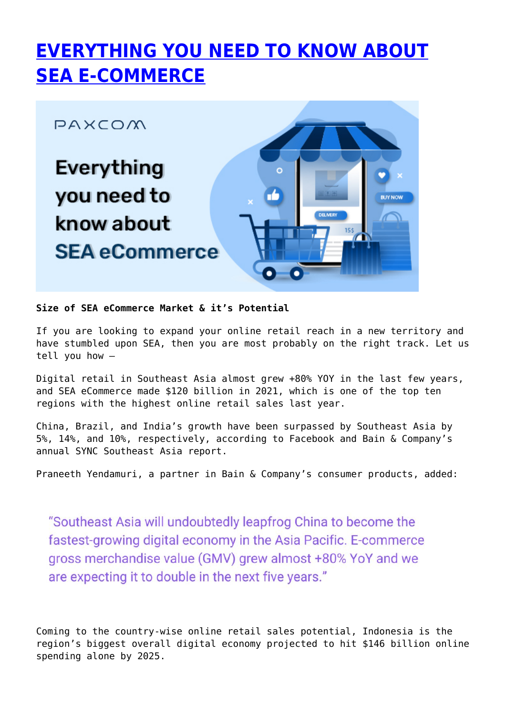# **[EVERYTHING YOU NEED TO KNOW ABOUT](https://paxcom.ai/blog/a-guide-to-sea-ecommerce/) [SEA E-COMMERCE](https://paxcom.ai/blog/a-guide-to-sea-ecommerce/)**



#### **Size of SEA eCommerce Market & it's Potential**

If you are looking to expand your online retail reach in a new territory and have stumbled upon SEA, then you are most probably on the right track. Let us tell you how –

Digital retail in Southeast Asia almost grew +80% YOY in the last few years, and SEA eCommerce made \$120 billion in 2021, which is one of the top ten regions with the highest online retail sales last year.

China, Brazil, and India's growth have been surpassed by Southeast Asia by 5%, 14%, and 10%, respectively, according to Facebook and Bain & Company's annual SYNC Southeast Asia report.

Praneeth Yendamuri, a partner in Bain & Company's consumer products, added:

"Southeast Asia will undoubtedly leapfrog China to become the fastest-growing digital economy in the Asia Pacific. E-commerce gross merchandise value (GMV) grew almost +80% YoY and we are expecting it to double in the next five years."

Coming to the country-wise online retail sales potential, Indonesia is the region's biggest overall digital economy projected to hit \$146 billion online spending alone by 2025.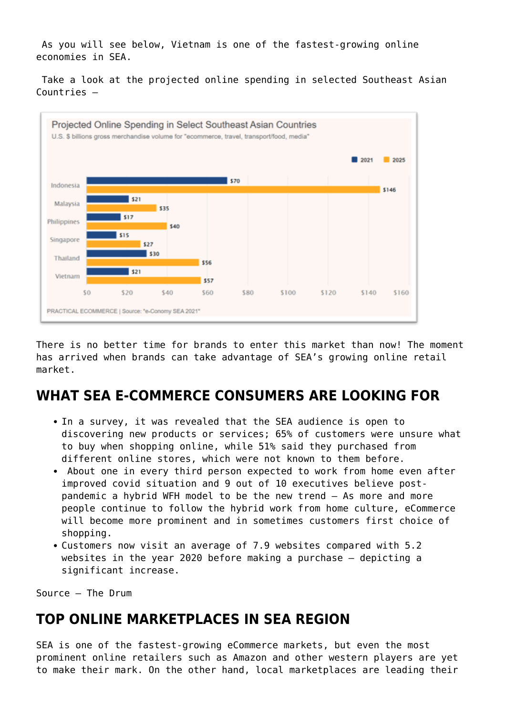As you will see below, Vietnam is one of the fastest-growing online economies in SEA.

 Take a look at the projected online spending in selected Southeast Asian Countries –



There is no better time for brands to enter this market than now! The moment has arrived when brands can take advantage of SEA's growing online retail market.

## **WHAT SEA E-COMMERCE CONSUMERS ARE LOOKING FOR**

- In a survey, it was revealed that the SEA audience is open to discovering new products or services; 65% of customers were unsure what to buy when shopping online, while 51% said they purchased from different online stores, which were not known to them before.
- About one in every third person expected to work from home even after improved covid situation and 9 out of 10 executives believe postpandemic a hybrid WFH model to be the new trend – As more and more people continue to follow the hybrid work from home culture, eCommerce will become more prominent and in sometimes customers first choice of shopping.
- Customers now visit an average of 7.9 websites compared with 5.2 websites in the year 2020 before making a purchase – depicting a significant increase.

Source – The Drum

## **TOP ONLINE MARKETPLACES IN SEA REGION**

SEA is one of the fastest-growing eCommerce markets, but even the most prominent online retailers such as Amazon and other western players are yet to make their mark. On the other hand, local marketplaces are leading their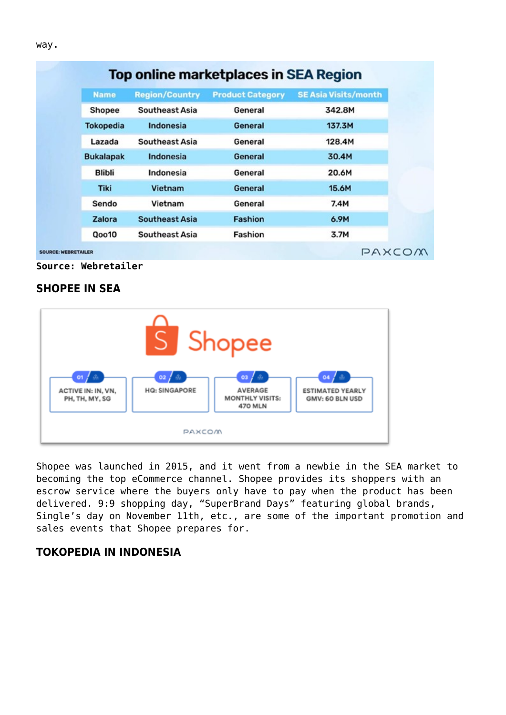| <b>Name</b>      | <b>Region/Country</b> | <b>Product Category</b> | <b>SE Asia Visits/month</b> |
|------------------|-----------------------|-------------------------|-----------------------------|
| Shopee           | Southeast Asia        | General                 | 342.8M                      |
| <b>Tokopedia</b> | Indonesia             | General                 | 137.3M                      |
| Lazada           | <b>Southeast Asia</b> | General                 | 128.4M                      |
| <b>Bukalapak</b> | Indonesia             | General                 | 30.4M                       |
| <b>Blibli</b>    | Indonesia             | General                 | 20.6M                       |
| <b>Tiki</b>      | Vietnam               | General                 | 15.6M                       |
| Sendo            | Vietnam               | General                 | 7.4M                        |
| Zalora           | <b>Southeast Asia</b> | <b>Fashion</b>          | 6.9M                        |
| <b>Qoo10</b>     | <b>Southeast Asia</b> | Fashion                 | 3.7M                        |

**Source: Webretailer**

#### **SHOPEE IN SEA**



Shopee was launched in 2015, and it went from a newbie in the SEA market to becoming the top eCommerce channel. Shopee provides its shoppers with an escrow service where the buyers only have to pay when the product has been delivered. 9:9 shopping day, "SuperBrand Days" featuring global brands, Single's day on November 11th, etc., are some of the important promotion and sales events that Shopee prepares for.

#### **TOKOPEDIA IN INDONESIA**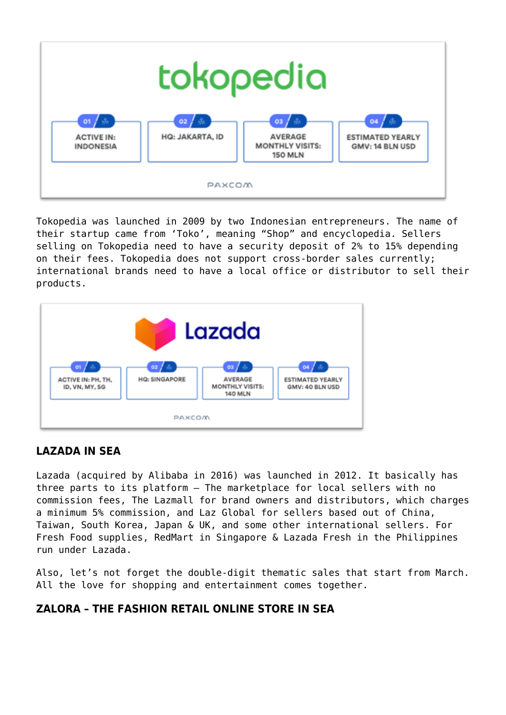

Tokopedia was launched in 2009 by two Indonesian entrepreneurs. The name of their startup came from 'Toko', meaning "Shop" and encyclopedia. Sellers selling on Tokopedia need to have a security deposit of 2% to 15% depending on their fees. Tokopedia does not support cross-border sales currently; international brands need to have a local office or distributor to sell their products.



#### **LAZADA IN SEA**

Lazada (acquired by Alibaba in 2016) was launched in 2012. It basically has three parts to its platform – The marketplace for local sellers with no commission fees, The Lazmall for brand owners and distributors, which charges a minimum 5% commission, and Laz Global for sellers based out of China, Taiwan, South Korea, Japan & UK, and some other international sellers. For Fresh Food supplies, RedMart in Singapore & Lazada Fresh in the Philippines run under Lazada.

Also, let's not forget the double-digit thematic sales that start from March. All the love for shopping and entertainment comes together.

#### **ZALORA – THE FASHION RETAIL ONLINE STORE IN SEA**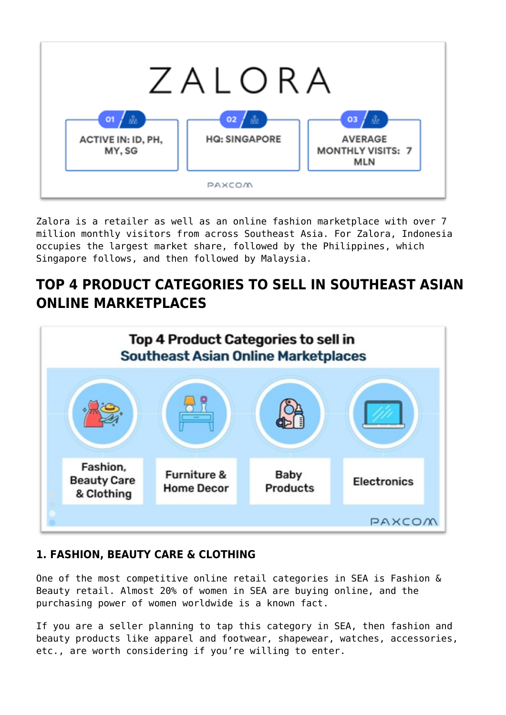

Zalora is a retailer as well as an online fashion marketplace with over 7 million monthly visitors from across Southeast Asia. For Zalora, Indonesia occupies the largest market share, followed by the Philippines, which Singapore follows, and then followed by Malaysia.

## **TOP 4 PRODUCT CATEGORIES TO SELL IN SOUTHEAST ASIAN ONLINE MARKETPLACES**



#### **1. FASHION, BEAUTY CARE & CLOTHING**

One of the most competitive online retail categories in SEA is Fashion & Beauty retail. Almost 20% of women in SEA are buying online, and the purchasing power of women worldwide is a known fact.

If you are a seller planning to tap this category in SEA, then fashion and beauty products like apparel and footwear, shapewear, watches, accessories, etc., are worth considering if you're willing to enter.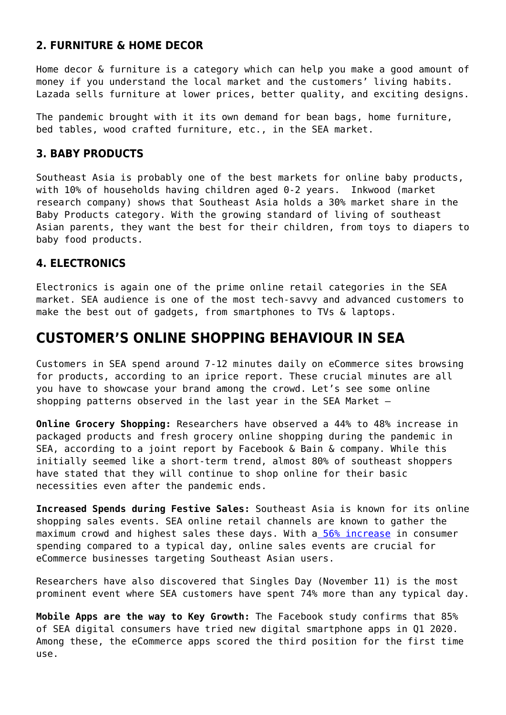#### **2. FURNITURE & HOME DECOR**

Home decor & furniture is a category which can help you make a good amount of money if you understand the local market and the customers' living habits. Lazada sells furniture at lower prices, better quality, and exciting designs.

The pandemic brought with it its own demand for bean bags, home furniture, bed tables, wood crafted furniture, etc., in the SEA market.

#### **3. BABY PRODUCTS**

Southeast Asia is probably one of the best markets for online baby products, with 10% of households having children aged 0-2 years. Inkwood (market research company) shows that Southeast Asia holds a 30% market share in the Baby Products category. With the growing standard of living of southeast Asian parents, they want the best for their children, from toys to diapers to baby food products.

#### **4. ELECTRONICS**

Electronics is again one of the prime online retail categories in the SEA market. SEA audience is one of the most tech-savvy and advanced customers to make the best out of gadgets, from smartphones to TVs & laptops.

## **CUSTOMER'S ONLINE SHOPPING BEHAVIOUR IN SEA**

Customers in SEA spend around 7-12 minutes daily on eCommerce sites browsing for products, according to an iprice report. These crucial minutes are all you have to showcase your brand among the crowd. Let's see some online shopping patterns observed in the last year in the SEA Market –

**Online Grocery Shopping:** Researchers have observed a 44% to 48% increase in packaged products and fresh grocery online shopping during the pandemic in SEA, according to a joint report by Facebook & Bain & company. While this initially seemed like a short-term trend, almost 80% of southeast shoppers have stated that they will continue to shop online for their basic necessities even after the pandemic ends.

**Increased Spends during Festive Sales:** Southeast Asia is known for its online shopping sales events. SEA online retail channels are known to gather the maximum crowd and highest sales these days. With a [56% increase](https://marketinginasia.com/2020/03/20/analyzing-southeast-asias-online-shopping-behavior/) in consumer spending compared to a typical day, online sales events are crucial for eCommerce businesses targeting Southeast Asian users.

Researchers have also discovered that Singles Day (November 11) is the most prominent event where SEA customers have spent 74% more than any typical day.

**Mobile Apps are the way to Key Growth:** The Facebook study confirms that 85% of SEA digital consumers have tried new digital smartphone apps in Q1 2020. Among these, the eCommerce apps scored the third position for the first time use.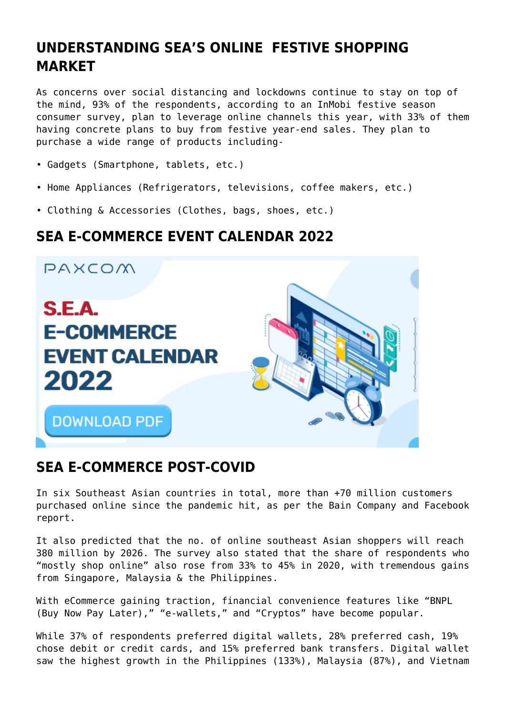## **UNDERSTANDING SEA'S ONLINE FESTIVE SHOPPING MARKET**

As concerns over social distancing and lockdowns continue to stay on top of the mind, 93% of the respondents, according to an InMobi festive season consumer survey, plan to leverage online channels this year, with 33% of them having concrete plans to buy from festive year-end sales. They plan to purchase a wide range of products including-

- Gadgets (Smartphone, tablets, etc.)
- Home Appliances (Refrigerators, televisions, coffee makers, etc.)
- Clothing & Accessories (Clothes, bags, shoes, etc.)

## **SEA E-COMMERCE EVENT CALENDAR 2022**



### **SEA E-COMMERCE POST-COVID**

In six Southeast Asian countries in total, more than +70 million customers purchased online since the pandemic hit, as per the Bain Company and Facebook report.

It also predicted that the no. of online southeast Asian shoppers will reach 380 million by 2026. The survey also stated that the share of respondents who "mostly shop online" also rose from 33% to 45% in 2020, with tremendous gains from Singapore, Malaysia & the Philippines.

With eCommerce gaining traction, financial convenience features like "BNPL (Buy Now Pay Later)," "e-wallets," and "Cryptos" have become popular.

While 37% of respondents preferred digital wallets, 28% preferred cash, 19% chose debit or credit cards, and 15% preferred bank transfers. Digital wallet saw the highest growth in the Philippines (133%), Malaysia (87%), and Vietnam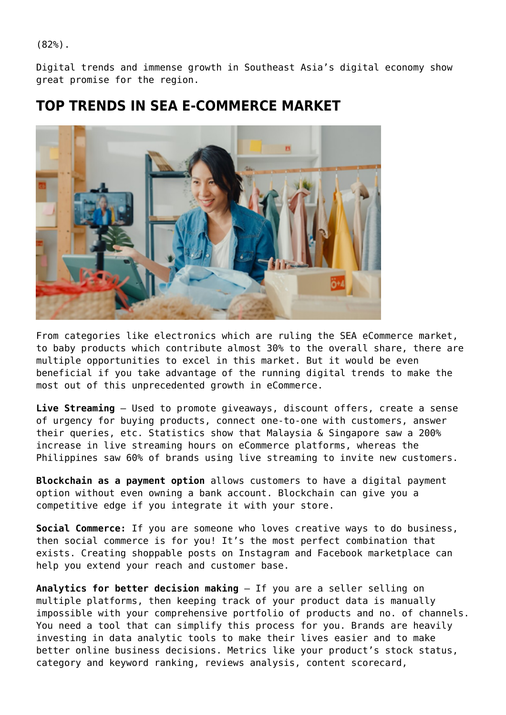(82%).

Digital trends and immense growth in Southeast Asia's digital economy show great promise for the region.

## **TOP TRENDS IN SEA E-COMMERCE MARKET**



From categories like electronics which are ruling the SEA eCommerce market, to baby products which contribute almost 30% to the overall share, there are multiple opportunities to excel in this market. But it would be even beneficial if you take advantage of the running digital trends to make the most out of this unprecedented growth in eCommerce.

**Live Streaming** – Used to promote giveaways, discount offers, create a sense of urgency for buying products, connect one-to-one with customers, answer their queries, etc. Statistics show that Malaysia & Singapore saw a 200% increase in live streaming hours on eCommerce platforms, whereas the Philippines saw 60% of brands using live streaming to invite new customers.

**Blockchain as a payment option** allows customers to have a digital payment option without even owning a bank account. Blockchain can give you a competitive edge if you integrate it with your store.

**Social Commerce:** If you are someone who loves creative ways to do business, then social commerce is for you! It's the most perfect combination that exists. Creating shoppable posts on Instagram and Facebook marketplace can help you extend your reach and customer base.

**Analytics for better decision making** – If you are a seller selling on multiple platforms, then keeping track of your product data is manually impossible with your comprehensive portfolio of products and no. of channels. You need a tool that can simplify this process for you. Brands are heavily investing in data analytic tools to make their lives easier and to make better online business decisions. Metrics like your product's stock status, category and keyword ranking, reviews analysis, content scorecard,